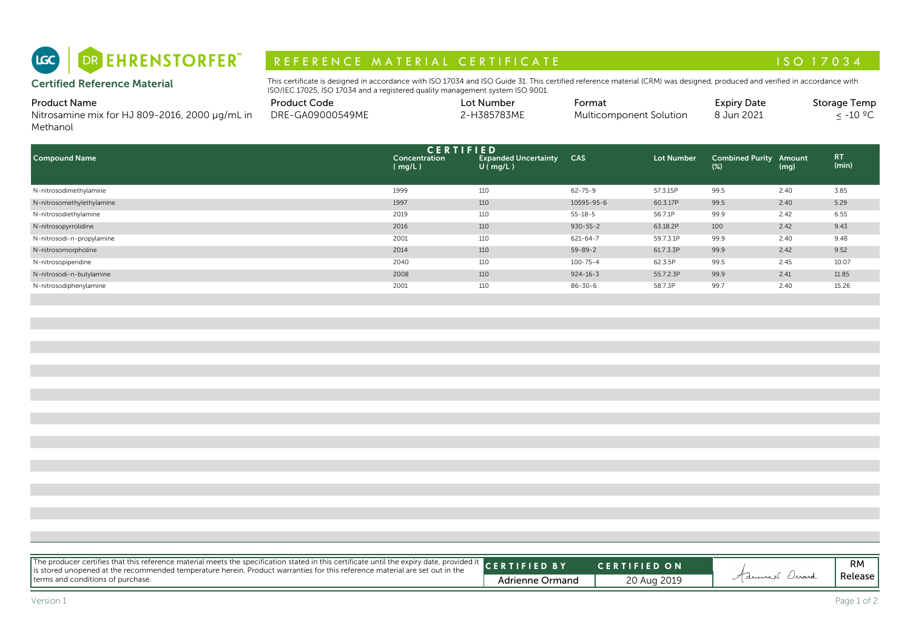

# R E F E R E N C E MAT E RIAL CERTIFICATE A LA COMPRESSIONE AND LES CONTRACTS AND LES CONTRACTS AND LES CONTRACTS

| <b>Product Name</b>                            | <b>Product Code</b> | Lot Number  | -ormat                  | <b>Expiry Date</b> | <b>Storage Temp</b> |
|------------------------------------------------|---------------------|-------------|-------------------------|--------------------|---------------------|
| Nitrosamine mix for HJ 809-2016, 2000 µg/mL in | DRE-GA09000549ME    | 2-H385783ME | Multicomponent Solution | 8 Jun 2021         | $\cdot$ -10 °C      |
| Methanol                                       |                     |             |                         |                    |                     |

| DR EHRENSTORFER"<br>(LGC)                                                         | REFERENCE MATERIAL CERTIFICATE                                                                                                                                                                                                                              |                         |                                                                   |                |                         |                                         |      | ISO 17034                  |
|-----------------------------------------------------------------------------------|-------------------------------------------------------------------------------------------------------------------------------------------------------------------------------------------------------------------------------------------------------------|-------------------------|-------------------------------------------------------------------|----------------|-------------------------|-----------------------------------------|------|----------------------------|
| <b>Certified Reference Material</b>                                               | This certificate is designed in accordance with ISO 17034 and ISO Guide 31. This certified reference material (CRM) was designed, produced and verified in accordance with<br>ISO/IEC 17025, ISO 17034 and a registered quality management system ISO 9001. |                         |                                                                   |                |                         |                                         |      |                            |
| <b>Product Name</b><br>Nitrosamine mix for HJ 809-2016, 2000 µg/mL in<br>Methanol | <b>Product Code</b><br>DRE-GA09000549ME                                                                                                                                                                                                                     |                         | Lot Number<br>2-H385783ME                                         | Format         | Multicomponent Solution | <b>Expiry Date</b><br>8 Jun 2021        |      | Storage Temp<br>$≤ -10 °C$ |
| <b>Compound Name</b>                                                              |                                                                                                                                                                                                                                                             | Concentration<br>(mq/L) | <b>CERTIFIED</b><br><b>Expanded Uncertainty</b><br>$U$ ( $mq/L$ ) | CAS            | <b>Lot Number</b>       | <b>Combined Purity Amount</b><br>$(\%)$ | (mg) | RT.<br>(min)               |
| N-nitrosodimethylamine                                                            |                                                                                                                                                                                                                                                             | 1999                    | 110                                                               | $62 - 75 - 9$  | 57.3.15P                | 99.5                                    | 2.40 | 3.85                       |
| N-nitrosomethylethylamine                                                         |                                                                                                                                                                                                                                                             | 1997                    | 110                                                               | 10595-95-6     | 60.3.17P                | 99.5                                    | 2.40 | 5.29                       |
| N-nitrosodiethylamine                                                             |                                                                                                                                                                                                                                                             | 2019                    | 110                                                               | $55 - 18 - 5$  | 56.7.1P                 | 99.9                                    | 2.42 | 6.55                       |
| N-nitrosopyrrolidine                                                              |                                                                                                                                                                                                                                                             | 2016                    | 110                                                               | $930 - 55 - 2$ | 63.18.2P                | 100                                     | 2.42 | 9.43                       |
| N-nitrosodi-n-propylamine                                                         |                                                                                                                                                                                                                                                             | 2001                    | 110                                                               | 621-64-7       | 59.7.3.1P               | 99.9                                    | 2.40 | 9.48                       |
| N-nitrosomorpholine                                                               |                                                                                                                                                                                                                                                             | 2014                    | 110                                                               | $59 - 89 - 2$  | 61.7.3.3P               | 99.9                                    | 2.42 | 9.52                       |
| N-nitrosopiperidine                                                               |                                                                                                                                                                                                                                                             | 2040                    | 110                                                               | $100 - 75 - 4$ | 62.3.5P                 | 99.5                                    | 2.45 | 10.07                      |
| N-nitrosodi-n-butylamine                                                          |                                                                                                                                                                                                                                                             | 2008                    | 110                                                               | $924 - 16 - 3$ | 55.7.2.3P               | 99.9                                    | 2.41 | 11.85                      |
| N-nitrosodiphenylamine                                                            |                                                                                                                                                                                                                                                             | 2001                    | 110                                                               | $86 - 30 - 6$  | 58.7.3P                 | 99.7                                    | 2.40 | 15.26                      |

| The producer certifies that this reference material meets the specification stated in this certificate until the expiry date, provided it CERTIFIED BY<br><b>CERTIFIED ON</b> |                              |
|-------------------------------------------------------------------------------------------------------------------------------------------------------------------------------|------------------------------|
|                                                                                                                                                                               | <b>RM</b>                    |
| terms and conditions of purchase.<br><b>Adrienne Ormand</b><br>20 Aug 2019                                                                                                    | AdrianceN. Orrand<br>Release |